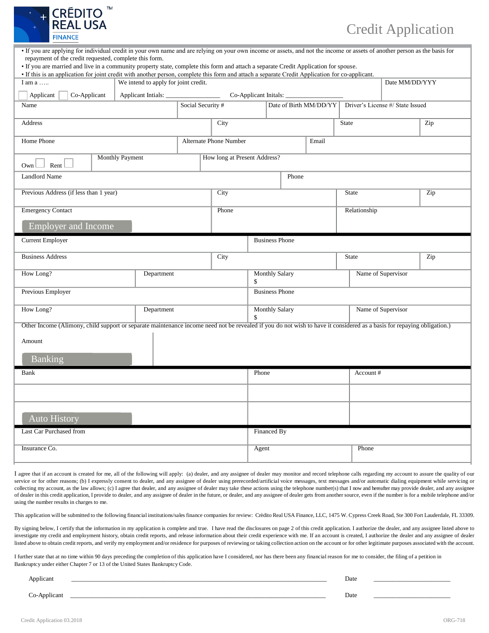

## Credit Application

| • If you are applying for individual credit in your own name and are relying on your own income or assets, and not the income or assets of another person as the basis for                     |                                                        |                               |                             |                             |       |                    |                                  |                |  |  |
|------------------------------------------------------------------------------------------------------------------------------------------------------------------------------------------------|--------------------------------------------------------|-------------------------------|-----------------------------|-----------------------------|-------|--------------------|----------------------------------|----------------|--|--|
| repayment of the credit requested, complete this form.<br>• If you are married and live in a community property state, complete this form and attach a separate Credit Application for spouse. |                                                        |                               |                             |                             |       |                    |                                  |                |  |  |
| • If this is an application for joint credit with another person, complete this form and attach a separate Credit Application for co-applicant.                                                |                                                        |                               |                             |                             |       |                    |                                  |                |  |  |
| I am a                                                                                                                                                                                         | We intend to apply for joint credit.                   |                               |                             |                             |       |                    |                                  | Date MM/DD/YYY |  |  |
| Applicant<br>Co-Applicant<br>Co-Applicant Initials:<br>Applicant Intials:                                                                                                                      |                                                        |                               |                             |                             |       |                    |                                  |                |  |  |
| Name                                                                                                                                                                                           |                                                        | Social Security #             |                             | Date of Birth MM/DD/YY      |       |                    | Driver's License #/ State Issued |                |  |  |
| Address                                                                                                                                                                                        |                                                        | City                          |                             |                             |       | State              |                                  | Zip            |  |  |
| Home Phone                                                                                                                                                                                     |                                                        | <b>Alternate Phone Number</b> |                             |                             | Email |                    |                                  |                |  |  |
| Rent<br>Own                                                                                                                                                                                    | <b>Monthly Payment</b><br>How long at Present Address? |                               |                             |                             |       |                    |                                  |                |  |  |
| <b>Landlord Name</b><br>Phone                                                                                                                                                                  |                                                        |                               |                             |                             |       |                    |                                  |                |  |  |
| Previous Address (if less than 1 year)                                                                                                                                                         |                                                        |                               | City                        |                             |       | <b>State</b>       |                                  | Zip            |  |  |
| <b>Emergency Contact</b>                                                                                                                                                                       |                                                        |                               | Phone                       |                             |       |                    | Relationship                     |                |  |  |
| <b>Employer and Income</b>                                                                                                                                                                     |                                                        |                               |                             |                             |       |                    |                                  |                |  |  |
| <b>Current Employer</b>                                                                                                                                                                        |                                                        |                               |                             | <b>Business Phone</b>       |       |                    |                                  |                |  |  |
| <b>Business Address</b>                                                                                                                                                                        |                                                        |                               | City<br><b>State</b>        |                             |       |                    |                                  | Zip            |  |  |
| How Long?<br>Department                                                                                                                                                                        |                                                        |                               |                             | <b>Monthly Salary</b><br>\$ |       |                    | Name of Supervisor               |                |  |  |
| Previous Employer                                                                                                                                                                              |                                                        |                               |                             | <b>Business Phone</b>       |       |                    |                                  |                |  |  |
| How Long?<br>Department                                                                                                                                                                        |                                                        |                               | <b>Monthly Salary</b><br>\$ |                             |       | Name of Supervisor |                                  |                |  |  |
| Other Income (Alimony, child support or separate maintenance income need not be revealed if you do not wish to have it considered as a basis for repaying obligation.)                         |                                                        |                               |                             |                             |       |                    |                                  |                |  |  |
| Amount                                                                                                                                                                                         |                                                        |                               |                             |                             |       |                    |                                  |                |  |  |
| Banking                                                                                                                                                                                        |                                                        |                               |                             |                             |       |                    |                                  |                |  |  |
| <b>Bank</b>                                                                                                                                                                                    |                                                        |                               |                             | Phone                       |       |                    | Account#                         |                |  |  |
|                                                                                                                                                                                                |                                                        |                               |                             |                             |       |                    |                                  |                |  |  |
| <b>Auto History</b>                                                                                                                                                                            |                                                        |                               |                             |                             |       |                    |                                  |                |  |  |
| Last Car Purchased from                                                                                                                                                                        |                                                        |                               |                             | Financed By                 |       |                    |                                  |                |  |  |
| Insurance Co.                                                                                                                                                                                  |                                                        |                               |                             | Agent                       |       |                    | Phone                            |                |  |  |

I agree that if an account is created for me, all of the following will apply: (a) dealer, and any assignee of dealer may monitor and record telephone calls regarding my account to assure the quality of our service or for other reasons; (b) I expressly consent to dealer, and any assignee of dealer using prerecorded/artificial voice messages, text messages and/or automatic dialing equipment while servicing or collecting my account, as the law allows; (c) I agree that dealer, and any assignee of dealer may take these actions using the telephone number(s) that I now and hereafter may provide dealer, and any assignee of dealer in this credit application, I provide to dealer, and any assignee of dealer in the future, or dealer, and any assignee of dealer gets from another source, even if the number is for a mobile telephone and/or using the number results in charges to me.

This application will be submitted to the following financial institutions/sales finance companies for review: Crèdito Real USA Finance, LLC, 1475 W. Cypress Creek Road, Ste 300 Fort Lauderdale, FL 33309.

By signing below, I certify that the information in my application is complete and true. I have read the disclosures on page 2 of this credit application. I authorize the dealer, and any assignee listed above to investigate my credit and employment history, obtain credit reports, and release information about their credit experience with me. If an account is created, I authorize the dealer and any assignee of dealer listed above to obtain credit reports, and verify my employment and/or residence for purposes of reviewing or taking collection action on the account or for other legitimate purposes associated with the account.

I further state that at no time within 90 days preceding the completion of this application have I considered, nor has there been any financial reason for me to consider, the filing of a petition in Bankruptcy under either Chapter 7 or 13 of the United States Bankruptcy Code.

| Applicant                          | Date |  |
|------------------------------------|------|--|
| -Applicant<br>$\sim$ $\sim$ $\sim$ | Date |  |